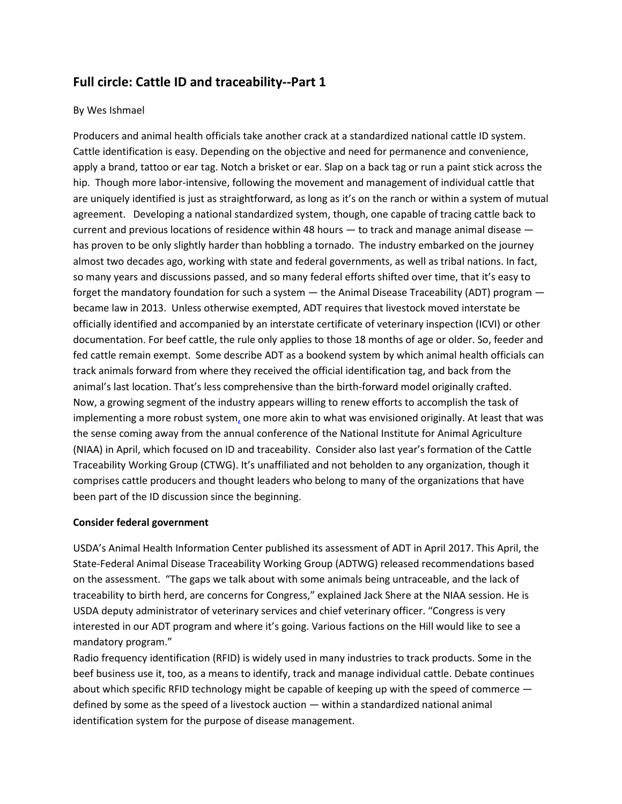# **Full circle: Cattle ID and traceability--Part 1**

## By Wes Ishmael

Producers and animal health officials take another crack at a standardized national cattle ID system. Cattle identification is easy. Depending on the objective and need for permanence and convenience, apply a brand, tattoo or ear tag. Notch a brisket or ear. Slap on a back tag or run a paint stick across the hip. Though more labor-intensive, following the movement and management of individual cattle that are uniquely identified is just as straightforward, as long as it's on the ranch or within a system of mutual agreement. Developing a national standardized system, though, one capable of tracing cattle back to current and previous locations of residence within 48 hours — to track and manage [animal disease](https://www.beefmagazine.com/livestock/animal-health) has proven to be only slightly harder than hobbling a tornado. The industry embarked on the journey almost two decades ago, working with state and federal governments, as well as tribal nations. In fact, so many years and discussions passed, and so many federal efforts shifted over time, that it's easy to forget the mandatory foundation for such a system — the [Animal Disease Traceability](https://www.beefmagazine.com/regulation/cattlemen-embark-next-chapter-animal-disease-traceability) (ADT) program became law in 2013. Unless otherwise exempted, ADT requires that livestock moved interstate be officially identified and accompanied by an interstate certificate of veterinary inspection (ICVI) or other documentation. For beef cattle, the rule only applies to those 18 months of age or older. So, feeder and fed cattle remain exempt. Some describe ADT as a bookend system by which animal health officials can track animals forward from where they received the official identification tag, and back from the animal's last location. That's less comprehensive than the birth-forward model originally crafted. Now, a growing segment of the industry appears willing to [renew efforts to accomplish the task of](https://www.beefmagazine.com/ranching/will-true-cattle-disease-traceability-program-please-stand)  [implementing a more robust system,](https://www.beefmagazine.com/ranching/will-true-cattle-disease-traceability-program-please-stand) one more akin to what was envisioned originally. At least that was the sense coming away from the annual conference of the National Institute for Animal Agriculture (NIAA) in April, which focused on ID and traceability. Consider also last year's formation of the Cattle Traceability Working Group (CTWG). It's unaffiliated and not beholden to any organization, though it comprises cattle producers and thought leaders who belong to many of the organizations that have been part of the ID discussion since the beginning.

### **Consider federal government**

USDA's Animal Health Information Center published its assessment of ADT in April 2017. This April, the State-Federal Animal Disease Traceability Working Group (ADTWG) released recommendations based on the assessment. "The gaps we talk about with some animals being untraceable, and the lack of traceability to birth herd, are concerns for Congress," explained Jack Shere at the NIAA session. He is USDA deputy administrator of veterinary services and chief veterinary officer. "Congress is very interested in our ADT program and where it's going. Various factions on the Hill would like to see a mandatory program."

Radio frequency identification (RFID) is widely used in many industries to track products. Some in the beef business use it, too, as a means to identify, track and manage individual cattle. Debate continues about which specific RFID technology might be capable of keeping up with the speed of commerce defined by some as the speed of a livestock auction — within a standardized national animal identification system for the purpose of disease management.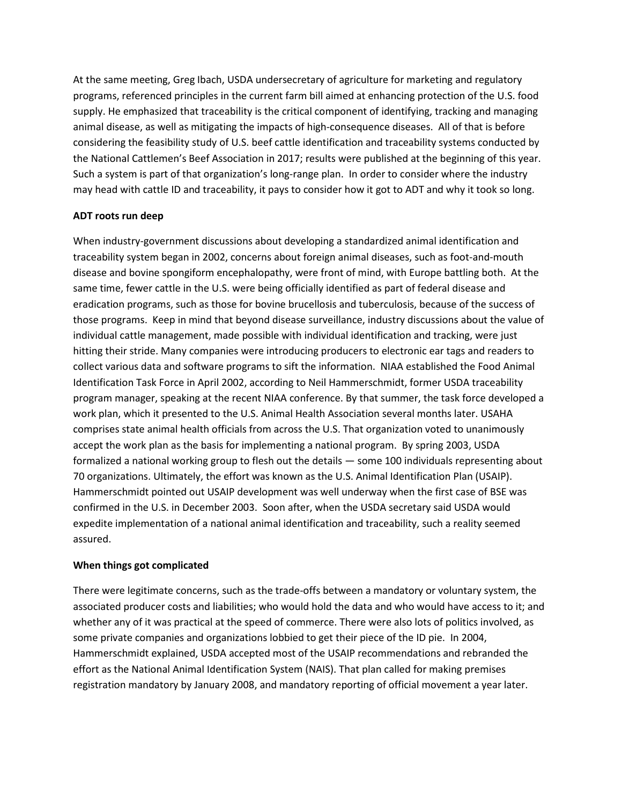At the same meeting, Greg Ibach, USDA undersecretary of agriculture for marketing and regulatory programs, referenced principles in the current farm bill aimed at enhancing protection of the U.S. food supply. He emphasized that traceability is the critical component of identifying, tracking and managing animal disease, as well as mitigating the impacts of high-consequence diseases. All of that is before considering the feasibility study of U.S. beef cattle identification and traceability systems conducted by the National Cattlemen's Beef Association in 2017; results were published at the beginning of this year. Such a system is part of that organization's long-range plan. In order to consider where the industry may head with cattle ID and traceability, it pays to consider how it got to ADT and why it took so long.

### **ADT roots run deep**

When industry-government discussions about developing a standardized animal identification and traceability system began in 2002, concerns about foreign animal diseases, such as foot-and-mouth disease and bovine spongiform encephalopathy, were front of mind, with Europe battling both. At the same time, fewer cattle in the U.S. were being officially identified as part of federal disease and eradication programs, such as those for bovine brucellosis and tuberculosis, because of the success of those programs. Keep in mind that beyond disease surveillance, industry discussions about the value of individual cattle management, made possible with individual identification and tracking, were just hitting their stride. Many companies were introducing producers to electronic ear tags and readers to collect various data and software programs to sift the information. NIAA established the Food Animal Identification Task Force in April 2002, according to Neil Hammerschmidt, former USDA traceability program manager, speaking at the recent NIAA conference. By that summer, the task force developed a work plan, which it presented to the U.S. Animal Health Association several months later. USAHA comprises state animal health officials from across the U.S. That organization voted to unanimously accept the work plan as the basis for implementing a national program. By spring 2003, USDA formalized a national working group to flesh out the details — some 100 individuals representing about 70 organizations. Ultimately, the effort was known as the U.S. Animal Identification Plan (USAIP). Hammerschmidt pointed out USAIP development was well underway when the first case of BSE was confirmed in the U.S. in December 2003. Soon after, when the USDA secretary said USDA would expedite implementation of a [national animal identification and traceability,](http://www.beefmagazine.com/risk-management/it-s-past-time-beef-industry-traceability) such a reality seemed assured.

### **When things got complicated**

There were legitimate concerns, such as the trade-offs between a mandatory or voluntary system, the associated producer costs and liabilities; who would hold the data and who would have access to it; and whether any of it was practical at the speed of commerce. There were also lots of politics involved, as some private companies and organizations lobbied to get their piece of the ID pie. In 2004, Hammerschmidt explained, USDA accepted most of the USAIP recommendations and rebranded the effort as the National Animal Identification System (NAIS). That plan called for making premises registration mandatory by January 2008, and mandatory reporting of official movement a year later.